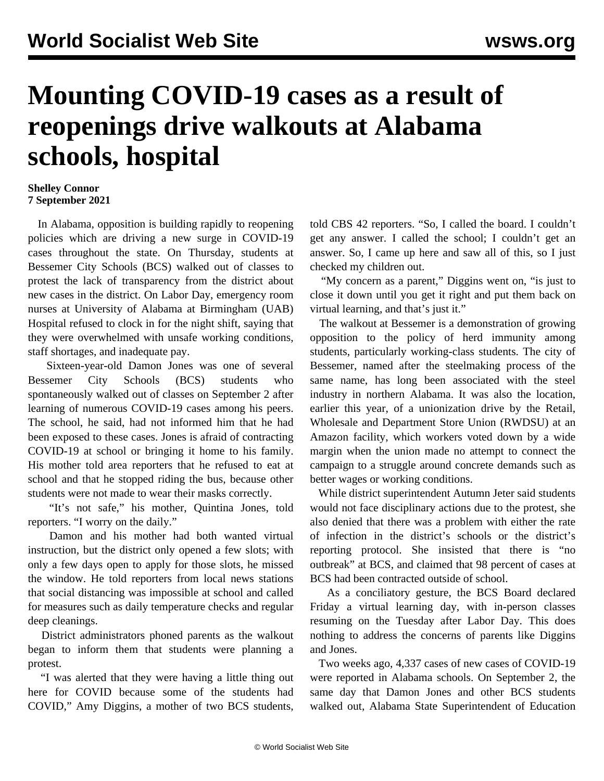## **Mounting COVID-19 cases as a result of reopenings drive walkouts at Alabama schools, hospital**

## **Shelley Connor 7 September 2021**

 In Alabama, opposition is building rapidly to reopening policies which are driving a new surge in COVID-19 cases throughout the state. On Thursday, students at Bessemer City Schools (BCS) walked out of classes to protest the lack of transparency from the district about new cases in the district. On Labor Day, emergency room nurses at University of Alabama at Birmingham (UAB) Hospital refused to clock in for the night shift, saying that they were overwhelmed with unsafe working conditions, staff shortages, and inadequate pay.

 Sixteen-year-old Damon Jones was one of several Bessemer City Schools (BCS) students who spontaneously walked out of classes on September 2 after learning of numerous COVID-19 cases among his peers. The school, he said, had not informed him that he had been exposed to these cases. Jones is afraid of contracting COVID-19 at school or bringing it home to his family. His mother told area reporters that he refused to eat at school and that he stopped riding the bus, because other students were not made to wear their masks correctly.

 "It's not safe," his mother, Quintina Jones, told reporters. "I worry on the daily."

 Damon and his mother had both wanted virtual instruction, but the district only opened a few slots; with only a few days open to apply for those slots, he missed the window. He told reporters from local news stations that social distancing was impossible at school and called for measures such as daily temperature checks and regular deep cleanings.

 District administrators phoned parents as the walkout began to inform them that students were planning a protest.

 "I was alerted that they were having a little thing out here for COVID because some of the students had COVID," Amy Diggins, a mother of two BCS students,

told CBS 42 reporters. "So, I called the board. I couldn't get any answer. I called the school; I couldn't get an answer. So, I came up here and saw all of this, so I just checked my children out.

 "My concern as a parent," Diggins went on, "is just to close it down until you get it right and put them back on virtual learning, and that's just it."

 The walkout at Bessemer is a demonstration of growing opposition to the policy of herd immunity among students, particularly working-class students. The city of Bessemer, named after the steelmaking process of the same name, has long been associated with the steel industry in northern Alabama. It was also the location, earlier this year, of a unionization drive by the Retail, Wholesale and Department Store Union (RWDSU) at an Amazon facility, which workers voted down by a wide margin when the union made no attempt to connect the campaign to a struggle around concrete demands such as better wages or working conditions.

 While district superintendent Autumn Jeter said students would not face disciplinary actions due to the protest, she also denied that there was a problem with either the rate of infection in the district's schools or the district's reporting protocol. She insisted that there is "no outbreak" at BCS, and claimed that 98 percent of cases at BCS had been contracted outside of school.

 As a conciliatory gesture, the BCS Board declared Friday a virtual learning day, with in-person classes resuming on the Tuesday after Labor Day. This does nothing to address the concerns of parents like Diggins and Jones.

 Two weeks ago, 4,337 cases of new cases of COVID-19 were reported in Alabama schools. On September 2, the same day that Damon Jones and other BCS students walked out, Alabama State Superintendent of Education